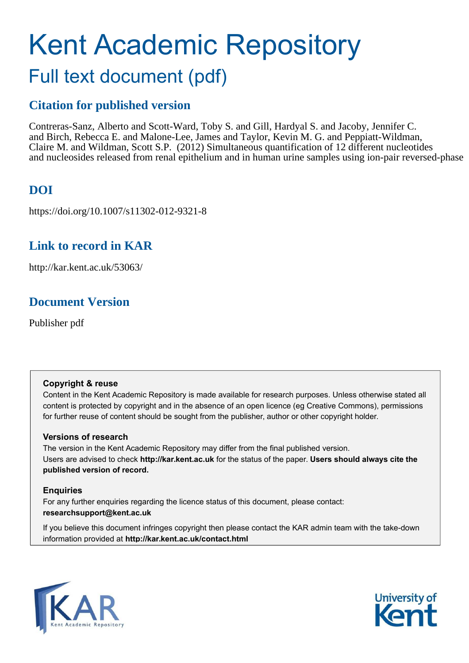# Kent Academic Repository

## Full text document (pdf)

## **Citation for published version**

Contreras-Sanz, Alberto and Scott-Ward, Toby S. and Gill, Hardyal S. and Jacoby, Jennifer C. and Birch, Rebecca E. and Malone-Lee, James and Taylor, Kevin M. G. and Peppiatt-Wildman, Claire M. and Wildman, Scott S.P. (2012) Simultaneous quantification of 12 different nucleotides and nucleosides released from renal epithelium and in human urine samples using ion-pair reversed-phase

## **DOI**

https://doi.org/10.1007/s11302-012-9321-8

## **Link to record in KAR**

http://kar.kent.ac.uk/53063/

## **Document Version**

Publisher pdf

## **Copyright & reuse**

Content in the Kent Academic Repository is made available for research purposes. Unless otherwise stated all content is protected by copyright and in the absence of an open licence (eg Creative Commons), permissions for further reuse of content should be sought from the publisher, author or other copyright holder.

## **Versions of research**

The version in the Kent Academic Repository may differ from the final published version. Users are advised to check **http://kar.kent.ac.uk** for the status of the paper. **Users should always cite the published version of record.**

## **Enquiries**

For any further enquiries regarding the licence status of this document, please contact: **researchsupport@kent.ac.uk**

If you believe this document infringes copyright then please contact the KAR admin team with the take-down information provided at **http://kar.kent.ac.uk/contact.html**



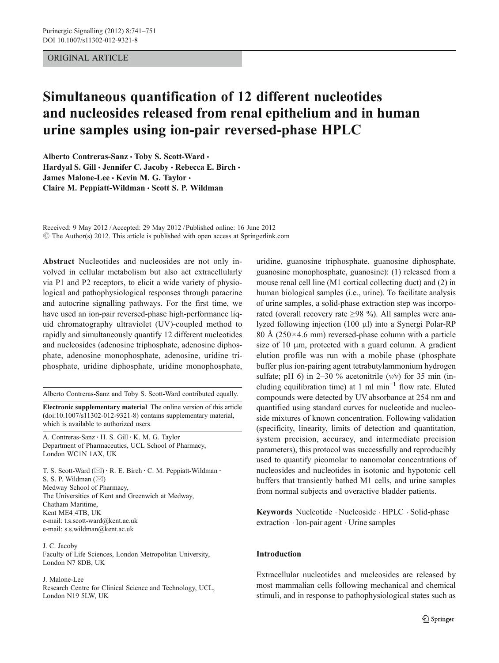#### ORIGINAL ARTICLE

## Simultaneous quantification of 12 different nucleotides and nucleosides released from renal epithelium and in human urine samples using ion-pair reversed-phase HPLC

Alberto Contreras-Sanz . Toby S. Scott-Ward . Hardyal S. Gill · Jennifer C. Jacoby · Rebecca E. Birch · James Malone-Lee · Kevin M. G. Taylor · Claire M. Peppiatt-Wildman · Scott S. P. Wildman

Received: 9 May 2012 /Accepted: 29 May 2012 / Published online: 16 June 2012  $\odot$  The Author(s) 2012. This article is published with open access at Springerlink.com

Abstract Nucleotides and nucleosides are not only involved in cellular metabolism but also act extracellularly via P1 and P2 receptors, to elicit a wide variety of physiological and pathophysiological responses through paracrine and autocrine signalling pathways. For the first time, we have used an ion-pair reversed-phase high-performance liquid chromatography ultraviolet (UV)-coupled method to rapidly and simultaneously quantify 12 different nucleotides and nucleosides (adenosine triphosphate, adenosine diphosphate, adenosine monophosphate, adenosine, uridine triphosphate, uridine diphosphate, uridine monophosphate,

Alberto Contreras-Sanz and Toby S. Scott-Ward contributed equally.

Electronic supplementary material The online version of this article (doi:[10.1007/s11302-012-9321-8\)](http://dx.doi.org/10.1007/s11302-012-9321-8) contains supplementary material, which is available to authorized users.

A. Contreras-Sanz : H. S. Gill : K. M. G. Taylor Department of Pharmaceutics, UCL School of Pharmacy, London WC1N 1AX, UK

T. S. Scott-Ward  $(\boxtimes) \cdot R$ . E. Birch  $\cdot$  C. M. Peppiatt-Wildman  $\cdot$ S. S. P. Wildman  $(\boxtimes)$ Medway School of Pharmacy, The Universities of Kent and Greenwich at Medway, Chatham Maritime, Kent ME4 4TB, UK e-mail: t.s.scott-ward@kent.ac.uk e-mail: s.s.wildman@kent.ac.uk

J. C. Jacoby Faculty of Life Sciences, London Metropolitan University, London N7 8DB, UK

J. Malone-Lee Research Centre for Clinical Science and Technology, UCL, London N19 5LW, UK

uridine, guanosine triphosphate, guanosine diphosphate, guanosine monophosphate, guanosine): (1) released from a mouse renal cell line (M1 cortical collecting duct) and (2) in human biological samples (i.e., urine). To facilitate analysis of urine samples, a solid-phase extraction step was incorporated (overall recovery rate ≥98 %). All samples were analyzed following injection (100 μl) into a Synergi Polar-RP 80 Å (250 $\times$ 4.6 mm) reversed-phase column with a particle size of 10 μm, protected with a guard column. A gradient elution profile was run with a mobile phase (phosphate buffer plus ion-pairing agent tetrabutylammonium hydrogen sulfate; pH 6) in 2–30 % acetonitrile  $(v/v)$  for 35 min (including equilibration time) at 1 ml min−<sup>1</sup> flow rate. Eluted compounds were detected by UV absorbance at 254 nm and quantified using standard curves for nucleotide and nucleoside mixtures of known concentration. Following validation (specificity, linearity, limits of detection and quantitation, system precision, accuracy, and intermediate precision parameters), this protocol was successfully and reproducibly used to quantify picomolar to nanomolar concentrations of nucleosides and nucleotides in isotonic and hypotonic cell buffers that transiently bathed M1 cells, and urine samples from normal subjects and overactive bladder patients.

Keywords Nucleotide . Nucleoside . HPLC . Solid-phase extraction . Ion-pair agent . Urine samples

#### Introduction

Extracellular nucleotides and nucleosides are released by most mammalian cells following mechanical and chemical stimuli, and in response to pathophysiological states such as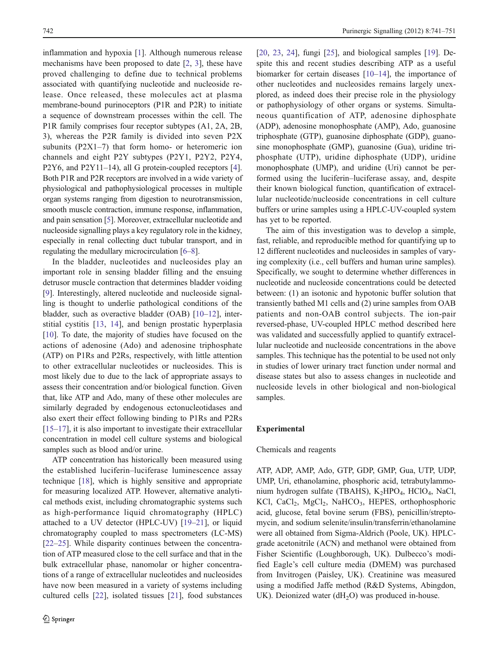<span id="page-2-0"></span>inflammation and hypoxia [\[1](#page-8-0)]. Although numerous release mechanisms have been proposed to date [[2,](#page-8-0) [3\]](#page-8-0), these have proved challenging to define due to technical problems associated with quantifying nucleotide and nucleoside release. Once released, these molecules act at plasma membrane-bound purinoceptors (P1R and P2R) to initiate a sequence of downstream processes within the cell. The P1R family comprises four receptor subtypes (A1, 2A, 2B, 3), whereas the P2R family is divided into seven P2X subunits (P2X1–7) that form homo- or heteromeric ion channels and eight P2Y subtypes (P2Y1, P2Y2, P2Y4, P2Y6, and P2Y11–14), all G protein-coupled receptors [\[4](#page-8-0)]. Both P1R and P2R receptors are involved in a wide variety of physiological and pathophysiological processes in multiple organ systems ranging from digestion to neurotransmission, smooth muscle contraction, immune response, inflammation, and pain sensation [\[5](#page-8-0)]. Moreover, extracellular nucleotide and nucleoside signalling plays a key regulatory role in the kidney, especially in renal collecting duct tubular transport, and in regulating the medullary microcirculation [\[6](#page-9-0)–[8](#page-9-0)].

In the bladder, nucleotides and nucleosides play an important role in sensing bladder filling and the ensuing detrusor muscle contraction that determines bladder voiding [\[9](#page-9-0)]. Interestingly, altered nucleotide and nucleoside signalling is thought to underlie pathological conditions of the bladder, such as overactive bladder (OAB) [[10](#page-9-0)–[12](#page-9-0)], interstitial cystitis [\[13](#page-9-0), [14\]](#page-9-0), and benign prostatic hyperplasia [\[10](#page-9-0)]. To date, the majority of studies have focused on the actions of adenosine (Ado) and adenosine triphosphate (ATP) on P1Rs and P2Rs, respectively, with little attention to other extracellular nucleotides or nucleosides. This is most likely due to due to the lack of appropriate assays to assess their concentration and/or biological function. Given that, like ATP and Ado, many of these other molecules are similarly degraded by endogenous ectonucleotidases and also exert their effect following binding to P1Rs and P2Rs [\[15](#page-9-0)–[17](#page-9-0)], it is also important to investigate their extracellular concentration in model cell culture systems and biological samples such as blood and/or urine.

ATP concentration has historically been measured using the established luciferin–luciferase luminescence assay technique [\[18](#page-9-0)], which is highly sensitive and appropriate for measuring localized ATP. However, alternative analytical methods exist, including chromatographic systems such as high-performance liquid chromatography (HPLC) attached to a UV detector (HPLC-UV) [\[19](#page-9-0)–[21](#page-9-0)], or liquid chromatography coupled to mass spectrometers (LC-MS) [\[22](#page-9-0)–[25](#page-9-0)]. While disparity continues between the concentration of ATP measured close to the cell surface and that in the bulk extracellular phase, nanomolar or higher concentrations of a range of extracellular nucleotides and nucleosides have now been measured in a variety of systems including cultured cells [[22\]](#page-9-0), isolated tissues [[21\]](#page-9-0), food substances

[\[20](#page-9-0), [23,](#page-9-0) [24](#page-9-0)], fungi [[25\]](#page-9-0), and biological samples [[19\]](#page-9-0). Despite this and recent studies describing ATP as a useful biomarker for certain diseases [[10](#page-9-0)–[14\]](#page-9-0), the importance of other nucleotides and nucleosides remains largely unexplored, as indeed does their precise role in the physiology or pathophysiology of other organs or systems. Simultaneous quantification of ATP, adenosine diphosphate (ADP), adenosine monophosphate (AMP), Ado, guanosine triphosphate (GTP), guanosine diphosphate (GDP), guanosine monophosphate (GMP), guanosine (Gua), uridine triphosphate (UTP), uridine diphosphate (UDP), uridine monophosphate (UMP), and uridine (Uri) cannot be performed using the luciferin–luciferase assay, and, despite their known biological function, quantification of extracellular nucleotide/nucleoside concentrations in cell culture buffers or urine samples using a HPLC-UV-coupled system has yet to be reported.

The aim of this investigation was to develop a simple, fast, reliable, and reproducible method for quantifying up to 12 different nucleotides and nucleosides in samples of varying complexity (i.e., cell buffers and human urine samples). Specifically, we sought to determine whether differences in nucleotide and nucleoside concentrations could be detected between: (1) an isotonic and hypotonic buffer solution that transiently bathed M1 cells and (2) urine samples from OAB patients and non-OAB control subjects. The ion-pair reversed-phase, UV-coupled HPLC method described here was validated and successfully applied to quantify extracellular nucleotide and nucleoside concentrations in the above samples. This technique has the potential to be used not only in studies of lower urinary tract function under normal and disease states but also to assess changes in nucleotide and nucleoside levels in other biological and non-biological samples.

#### Experimental

#### Chemicals and reagents

ATP, ADP, AMP, Ado, GTP, GDP, GMP, Gua, UTP, UDP, UMP, Uri, ethanolamine, phosphoric acid, tetrabutylammonium hydrogen sulfate (TBAHS), K2HPO<sub>4</sub>, HClO<sub>4</sub>, NaCl, KCl, CaCl<sub>2</sub>, MgCl<sub>2</sub>, NaHCO<sub>3</sub>, HEPES, orthophosphoric acid, glucose, fetal bovine serum (FBS), penicillin/streptomycin, and sodium selenite/insulin/transferrin/ethanolamine were all obtained from Sigma-Aldrich (Poole, UK). HPLCgrade acetonitrile (ACN) and methanol were obtained from Fisher Scientific (Loughborough, UK). Dulbecco's modified Eagle's cell culture media (DMEM) was purchased from Invitrogen (Paisley, UK). Creatinine was measured using a modified Jaffe method (R&D Systems, Abingdon, UK). Deionized water  $(dH<sub>2</sub>O)$  was produced in-house.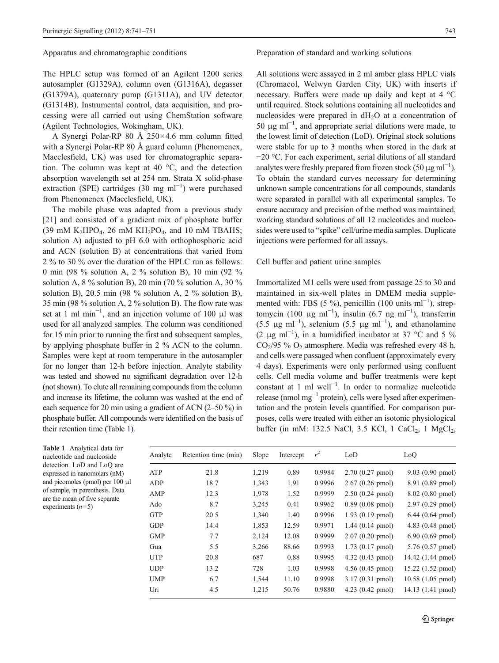Apparatus and chromatographic conditions

The HPLC setup was formed of an Agilent 1200 series autosampler (G1329A), column oven (G1316A), degasser (G1379A), quaternary pump (G1311A), and UV detector (G1314B). Instrumental control, data acquisition, and processing were all carried out using ChemStation software (Agilent Technologies, Wokingham, UK).

A Synergi Polar-RP 80 Å 250×4.6 mm column fitted with a Synergi Polar-RP 80 Å guard column (Phenomenex, Macclesfield, UK) was used for chromatographic separation. The column was kept at 40 °C, and the detection absorption wavelength set at 254 nm. Strata X solid-phase extraction (SPE) cartridges (30 mg ml<sup>-1</sup>) were purchased from Phenomenex (Macclesfield, UK).

The mobile phase was adapted from a previous study [\[21](#page-9-0)] and consisted of a gradient mix of phosphate buffer (39 mM K<sub>2</sub>HPO<sub>4</sub>, 26 mM KH<sub>2</sub>PO<sub>4</sub>, and 10 mM TBAHS; solution A) adjusted to pH 6.0 with orthophosphoric acid and ACN (solution B) at concentrations that varied from 2 % to 30 % over the duration of the HPLC run as follows: 0 min (98 % solution A, 2 % solution B), 10 min (92 % solution A,  $8\%$  solution B), 20 min (70 % solution A, 30 % solution B),  $20.5$  min (98 % solution A, 2 % solution B), 35 min (98 % solution A, 2 % solution B). The flow rate was set at 1 ml min<sup>-1</sup>, and an injection volume of 100  $\mu$ l was used for all analyzed samples. The column was conditioned for 15 min prior to running the first and subsequent samples, by applying phosphate buffer in 2 % ACN to the column. Samples were kept at room temperature in the autosampler for no longer than 12-h before injection. Analyte stability was tested and showed no significant degradation over 12-h (not shown). To elute all remaining compounds from the column and increase its lifetime, the column was washed at the end of each sequence for 20 min using a gradient of ACN (2–50 %) in phosphate buffer. All compounds were identified on the basis of their retention time (Table [1](#page-2-0)).

Preparation of standard and working solutions

All solutions were assayed in 2 ml amber glass HPLC vials (Chromacol, Welwyn Garden City, UK) with inserts if necessary. Buffers were made up daily and kept at 4 °C until required. Stock solutions containing all nucleotides and nucleosides were prepared in  $dH_2O$  at a concentration of 50 μg ml−<sup>1</sup> , and appropriate serial dilutions were made, to the lowest limit of detection (LoD). Original stock solutions were stable for up to 3 months when stored in the dark at −20 °C. For each experiment, serial dilutions of all standard analytes were freshly prepared from frozen stock (50  $\mu$ g ml<sup>-1</sup>). To obtain the standard curves necessary for determining unknown sample concentrations for all compounds, standards were separated in parallel with all experimental samples. To ensure accuracy and precision of the method was maintained, working standard solutions of all 12 nucleotides and nucleosides were used to "spike" cell/urine media samples. Duplicate injections were performed for all assays.

Cell buffer and patient urine samples

Immortalized M1 cells were used from passage 25 to 30 and maintained in six-well plates in DMEM media supplemented with: FBS (5 %), penicillin (100 units ml<sup>-1</sup>), streptomycin (100 μg ml<sup>-1</sup>), insulin (6.7 ng ml<sup>-1</sup>), transferrin (5.5 μg ml<sup>-1</sup>), selenium (5.5 μg ml<sup>-1</sup>), and ethanolamine (2 μg ml<sup>-1</sup>), in a humidified incubator at 37 °C and 5 %  $CO<sub>2</sub>/95$  %  $O<sub>2</sub>$  atmosphere. Media was refreshed every 48 h, and cells were passaged when confluent (approximately every 4 days). Experiments were only performed using confluent cells. Cell media volume and buffer treatments were kept constant at 1 ml well−<sup>1</sup> . In order to normalize nucleotide release (nmol mg−<sup>1</sup> protein), cells were lysed after experimentation and the protein levels quantified. For comparison purposes, cells were treated with either an isotonic physiological buffer (in mM: 132.5 NaCl, 3.5 KCl, 1 CaCl<sub>2</sub>, 1 MgCl<sub>2</sub>,

| Analyte    | Retention time (min) | Slope | Intercept | $r^2$  | LoD                       | LoQ                       |
|------------|----------------------|-------|-----------|--------|---------------------------|---------------------------|
| <b>ATP</b> | 21.8                 | 1,219 | 0.89      | 0.9984 | $2.70(0.27 \text{ pmol})$ | $9.03(0.90 \text{ pmol})$ |
| ADP        | 18.7                 | 1,343 | 1.91      | 0.9996 | $2.67(0.26 \text{ pmol})$ | 8.91 (0.89 pmol)          |
| AMP        | 12.3                 | 1,978 | 1.52      | 0.9999 | $2.50(0.24 \text{ pmol})$ | $8.02(0.80 \text{ pmol})$ |
| Ado        | 8.7                  | 3,245 | 0.41      | 0.9962 | $0.89(0.08 \text{ pmol})$ | $2.97(0.29 \text{ pmol})$ |
| <b>GTP</b> | 20.5                 | 1,340 | 1.40      | 0.9996 | $1.93(0.19 \text{ pmol})$ | $6.44(0.64 \text{ pmol})$ |
| <b>GDP</b> | 14.4                 | 1,853 | 12.59     | 0.9971 | $1.44$ (0.14 pmol)        | $4.83$ (0.48 pmol)        |
| <b>GMP</b> | 7.7                  | 2,124 | 12.08     | 0.9999 | $2.07(0.20 \text{ pmol})$ | $6.90(0.69 \text{ pmol})$ |
| Gua        | 5.5                  | 3,266 | 88.66     | 0.9993 | $1.73$ (0.17 pmol)        | 5.76 (0.57 pmol)          |
| <b>UTP</b> | 20.8                 | 687   | 0.88      | 0.9995 | $4.32(0.43 \text{ pmol})$ | 14.42 (1.44 pmol)         |
| <b>UDP</b> | 13.2                 | 728   | 1.03      | 0.9998 | $4.56(0.45 \text{ pmol})$ | $15.22$ (1.52 pmol)       |
| <b>UMP</b> | 6.7                  | 1,544 | 11.10     | 0.9998 | $3.17(0.31 \text{ pmol})$ | $10.58$ (1.05 pmol)       |
| Uri        | 4.5                  | 1,215 | 50.76     | 0.9880 | $4.23$ (0.42 pmol)        | 14.13 (1.41 pmol)         |

Table 1 Analytical data for nucleotide and nucleoside detection. LoD and LoQ are expressed in nanomolars (nM) and picomoles (pmol) per 100 μl of sample, in parenthesis. Data are the mean of five separate experiments  $(n=5)$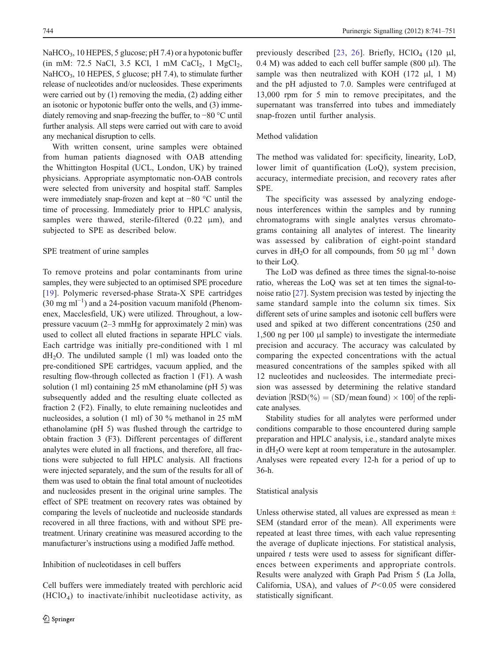<span id="page-4-0"></span>NaHCO<sub>3</sub>, 10 HEPES, 5 glucose; pH 7.4) or a hypotonic buffer  $(in \, mM: 72.5 \, NaCl, 3.5 \, KCl, 1 \, mM \, CaCl<sub>2</sub>, 1 \, MgCl<sub>2</sub>,$ NaHCO<sub>3</sub>, 10 HEPES, 5 glucose; pH 7.4), to stimulate further release of nucleotides and/or nucleosides. These experiments were carried out by (1) removing the media, (2) adding either an isotonic or hypotonic buffer onto the wells, and (3) immediately removing and snap-freezing the buffer, to −80 °C until further analysis. All steps were carried out with care to avoid any mechanical disruption to cells.

With written consent, urine samples were obtained from human patients diagnosed with OAB attending the Whittington Hospital (UCL, London, UK) by trained physicians. Appropriate asymptomatic non-OAB controls were selected from university and hospital staff. Samples were immediately snap-frozen and kept at −80 °C until the time of processing. Immediately prior to HPLC analysis, samples were thawed, sterile-filtered  $(0.22 \mu m)$ , and subjected to SPE as described below.

#### SPE treatment of urine samples

To remove proteins and polar contaminants from urine samples, they were subjected to an optimised SPE procedure [\[19\]](#page-9-0). Polymeric reversed-phase Strata-X SPE cartridges (30 mg ml−<sup>1</sup> ) and a 24-position vacuum manifold (Phenomenex, Macclesfield, UK) were utilized. Throughout, a lowpressure vacuum (2–3 mmHg for approximately 2 min) was used to collect all eluted fractions in separate HPLC vials. Each cartridge was initially pre-conditioned with 1 ml  $dH_2O$ . The undiluted sample  $(1 \text{ ml})$  was loaded onto the pre-conditioned SPE cartridges, vacuum applied, and the resulting flow-through collected as fraction 1 (F1). A wash solution (1 ml) containing 25 mM ethanolamine (pH 5) was subsequently added and the resulting eluate collected as fraction 2 (F2). Finally, to elute remaining nucleotides and nucleosides, a solution (1 ml) of 30 % methanol in 25 mM ethanolamine (pH 5) was flushed through the cartridge to obtain fraction 3 (F3). Different percentages of different analytes were eluted in all fractions, and therefore, all fractions were subjected to full HPLC analysis. All fractions were injected separately, and the sum of the results for all of them was used to obtain the final total amount of nucleotides and nucleosides present in the original urine samples. The effect of SPE treatment on recovery rates was obtained by comparing the levels of nucleotide and nucleoside standards recovered in all three fractions, with and without SPE pretreatment. Urinary creatinine was measured according to the manufacturer's instructions using a modified Jaffe method.

#### Inhibition of nucleotidases in cell buffers

Cell buffers were immediately treated with perchloric acid  $(HClO<sub>4</sub>)$  to inactivate/inhibit nucleotidase activity, as previously described [[23,](#page-9-0) [26\]](#page-9-0). Briefly,  $HCIO<sub>4</sub>$  (120 μl, 0.4 M) was added to each cell buffer sample (800 μl). The sample was then neutralized with KOH (172  $\mu$ l, 1 M) and the pH adjusted to 7.0. Samples were centrifuged at 13,000 rpm for 5 min to remove precipitates, and the supernatant was transferred into tubes and immediately snap-frozen until further analysis.

#### Method validation

The method was validated for: specificity, linearity, LoD, lower limit of quantification (LoQ), system precision, accuracy, intermediate precision, and recovery rates after SPE.

The specificity was assessed by analyzing endogenous interferences within the samples and by running chromatograms with single analytes versus chromatograms containing all analytes of interest. The linearity was assessed by calibration of eight-point standard curves in dH<sub>2</sub>O for all compounds, from 50  $\mu$ g ml<sup>-1</sup> down to their LoQ.

The LoD was defined as three times the signal-to-noise ratio, whereas the LoQ was set at ten times the signal-tonoise ratio [[27\]](#page-9-0). System precision was tested by injecting the same standard sample into the column six times. Six different sets of urine samples and isotonic cell buffers were used and spiked at two different concentrations (250 and 1,500 ng per 100 μl sample) to investigate the intermediate precision and accuracy. The accuracy was calculated by comparing the expected concentrations with the actual measured concentrations of the samples spiked with all 12 nucleotides and nucleosides. The intermediate precision was assessed by determining the relative standard deviation  $[RSD(\%)] = (SD/mean found) \times 100$  of the replicate analyses.

Stability studies for all analytes were performed under conditions comparable to those encountered during sample preparation and HPLC analysis, i.e., standard analyte mixes in  $dH<sub>2</sub>O$  were kept at room temperature in the autosampler. Analyses were repeated every 12-h for a period of up to 36-h.

#### Statistical analysis

Unless otherwise stated, all values are expressed as mean  $\pm$ SEM (standard error of the mean). All experiments were repeated at least three times, with each value representing the average of duplicate injections. For statistical analysis, unpaired  $t$  tests were used to assess for significant differences between experiments and appropriate controls. Results were analyzed with Graph Pad Prism 5 (La Jolla, California, USA), and values of  $P<0.05$  were considered statistically significant.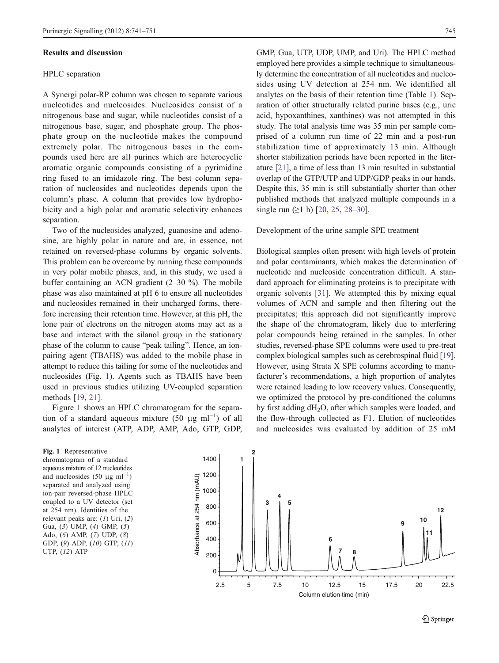#### <span id="page-5-0"></span>Results and discussion

#### HPLC separation

A Synergi polar-RP column was chosen to separate various nucleotides and nucleosides. Nucleosides consist of a nitrogenous base and sugar, while nucleotides consist of a nitrogenous base, sugar, and phosphate group. The phosphate group on the nucleotide makes the compound extremely polar. The nitrogenous bases in the compounds used here are all purines which are heterocyclic aromatic organic compounds consisting of a pyrimidine ring fused to an imidazole ring. The best column separation of nucleosides and nucleotides depends upon the column's phase. A column that provides low hydrophobicity and a high polar and aromatic selectivity enhances separation.

Two of the nucleosides analyzed, guanosine and adenosine, are highly polar in nature and are, in essence, not retained on reversed-phase columns by organic solvents. This problem can be overcome by running these compounds in very polar mobile phases, and, in this study, we used a buffer containing an ACN gradient (2–30 %). The mobile phase was also maintained at pH 6 to ensure all nucleotides and nucleosides remained in their uncharged forms, therefore increasing their retention time. However, at this pH, the lone pair of electrons on the nitrogen atoms may act as a base and interact with the silanol group in the stationary phase of the column to cause "peak tailing". Hence, an ionpairing agent (TBAHS) was added to the mobile phase in attempt to reduce this tailing for some of the nucleotides and nucleosides (Fig. [1\)](#page-4-0). Agents such as TBAHS have been used in previous studies utilizing UV-coupled separation methods [[19,](#page-9-0) [21](#page-9-0)].

Figure [1](#page-4-0) shows an HPLC chromatogram for the separation of a standard aqueous mixture (50  $\mu$ g ml<sup>-1</sup>) of all analytes of interest (ATP, ADP, AMP, Ado, GTP, GDP,

GMP, Gua, UTP, UDP, UMP, and Uri). The HPLC method employed here provides a simple technique to simultaneously determine the concentration of all nucleotides and nucleosides using UV detection at 254 nm. We identified all analytes on the basis of their retention time (Table [1](#page-2-0)). Separation of other structurally related purine bases (e.g., uric acid, hypoxanthines, xanthines) was not attempted in this study. The total analysis time was 35 min per sample comprised of a column run time of 22 min and a post-run stabilization time of approximately 13 min. Although shorter stabilization periods have been reported in the literature [[21\]](#page-9-0), a time of less than 13 min resulted in substantial overlap of the GTP/UTP and UDP/GDP peaks in our hands. Despite this, 35 min is still substantially shorter than other published methods that analyzed multiple compounds in a single run  $(≥1 h)$  [[20,](#page-9-0) [25](#page-9-0), [28](#page-9-0)–[30\]](#page-9-0).

Development of the urine sample SPE treatment

Biological samples often present with high levels of protein and polar contaminants, which makes the determination of nucleotide and nucleoside concentration difficult. A standard approach for eliminating proteins is to precipitate with organic solvents [\[31](#page-9-0)]. We attempted this by mixing equal volumes of ACN and sample and then filtering out the precipitates; this approach did not significantly improve the shape of the chromatogram, likely due to interfering polar compounds being retained in the samples. In other studies, reversed-phase SPE columns were used to pre-treat complex biological samples such as cerebrospinal fluid [[19\]](#page-9-0). However, using Strata X SPE columns according to manufacturer's recommendations, a high proportion of analytes were retained leading to low recovery values. Consequently, we optimized the protocol by pre-conditioned the columns by first adding dH2O, after which samples were loaded, and the flow-through collected as F1. Elution of nucleotides and nucleosides was evaluated by addition of 25 mM

Fig. 1 Representative chromatogram of a standard aqueous mixture of 12 nucleotides and nucleosides (50  $\mu$ g ml<sup>-1</sup>) separated and analyzed using ion-pair reversed-phase HPLC coupled to a UV detector (set at 254 nm). Identities of the relevant peaks are:  $(1)$  Uri,  $(2)$ Gua, (3) UMP, (4) GMP, (5) Ado, (6) AMP, (7) UDP, (8) GDP, (9) ADP, (10) GTP, (11) UTP, (12) ATP

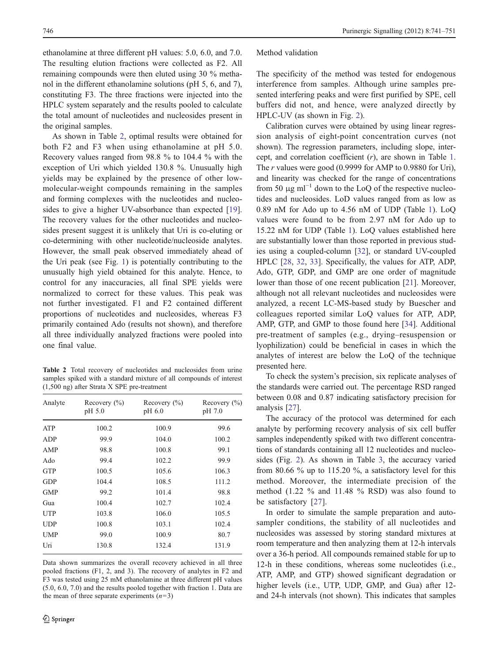ethanolamine at three different pH values: 5.0, 6.0, and 7.0. The resulting elution fractions were collected as F2. All remaining compounds were then eluted using 30 % methanol in the different ethanolamine solutions (pH 5, 6, and 7), constituting F3. The three fractions were injected into the HPLC system separately and the results pooled to calculate the total amount of nucleotides and nucleosides present in the original samples.

As shown in Table [2](#page-5-0), optimal results were obtained for both F2 and F3 when using ethanolamine at pH 5.0. Recovery values ranged from 98.8 % to 104.4 % with the exception of Uri which yielded 130.8 %. Unusually high yields may be explained by the presence of other lowmolecular-weight compounds remaining in the samples and forming complexes with the nucleotides and nucleosides to give a higher UV-absorbance than expected [\[19](#page-9-0)]. The recovery values for the other nucleotides and nucleosides present suggest it is unlikely that Uri is co-eluting or co-determining with other nucleotide/nucleoside analytes. However, the small peak observed immediately ahead of the Uri peak (see Fig. [1](#page-4-0)) is potentially contributing to the unusually high yield obtained for this analyte. Hence, to control for any inaccuracies, all final SPE yields were normalized to correct for these values. This peak was not further investigated. F1 and F2 contained different proportions of nucleotides and nucleosides, whereas F3 primarily contained Ado (results not shown), and therefore all three individually analyzed fractions were pooled into one final value.

Table 2 Total recovery of nucleotides and nucleosides from urine samples spiked with a standard mixture of all compounds of interest (1,500 ng) after Strata X SPE pre-treatment

| Analyte    | Recovery $(\% )$<br>pH 5.0 | Recovery $(\% )$<br>pH 6.0 | Recovery $(\% )$<br>pH 7.0 |
|------------|----------------------------|----------------------------|----------------------------|
| ATP        | 100.2                      | 100.9                      | 99.6                       |
| ADP        | 99.9                       | 104.0                      | 100.2                      |
| AMP        | 98.8                       | 100.8                      | 99.1                       |
| Ado        | 99.4                       | 102.2                      | 99.9                       |
| <b>GTP</b> | 100.5                      | 105.6                      | 106.3                      |
| GDP        | 104.4                      | 108.5                      | 111.2                      |
| <b>GMP</b> | 99.2                       | 101.4                      | 98.8                       |
| Gua        | 100.4                      | 102.7                      | 102.4                      |
| <b>UTP</b> | 103.8                      | 106.0                      | 105.5                      |
| <b>UDP</b> | 100.8                      | 103.1                      | 102.4                      |
| <b>UMP</b> | 99.0                       | 100.9                      | 80.7                       |
| Uri        | 130.8                      | 132.4                      | 131.9                      |
|            |                            |                            |                            |

Data shown summarizes the overall recovery achieved in all three pooled fractions (F1, 2, and 3). The recovery of analytes in F2 and F3 was tested using 25 mM ethanolamine at three different pH values (5.0, 6.0, 7.0) and the results pooled together with fraction 1. Data are the mean of three separate experiments  $(n=3)$ 

#### Method validation

The specificity of the method was tested for endogenous interference from samples. Although urine samples presented interfering peaks and were first purified by SPE, cell buffers did not, and hence, were analyzed directly by HPLC-UV (as shown in Fig. 2).

Calibration curves were obtained by using linear regression analysis of eight-point concentration curves (not shown). The regression parameters, including slope, intercept, and correlation coefficient (r), are shown in Table [1.](#page-2-0) The r values were good (0.9999 for AMP to 0.9880 for Uri), and linearity was checked for the range of concentrations from 50  $\mu$ g ml<sup>-1</sup> down to the LoQ of the respective nucleotides and nucleosides. LoD values ranged from as low as 0.89 nM for Ado up to 4.56 nM of UDP (Table [1](#page-2-0)). LoQ values were found to be from 2.97 nM for Ado up to 15.22 nM for UDP (Table [1\)](#page-2-0). LoQ values established here are substantially lower than those reported in previous studies using a coupled-column [[32\]](#page-9-0), or standard UV-coupled HPLC [\[28](#page-9-0), [32](#page-9-0), [33\]](#page-9-0). Specifically, the values for ATP, ADP, Ado, GTP, GDP, and GMP are one order of magnitude lower than those of one recent publication [\[21](#page-9-0)]. Moreover, although not all relevant nucleotides and nucleosides were analyzed, a recent LC-MS-based study by Buescher and colleagues reported similar LoQ values for ATP, ADP, AMP, GTP, and GMP to those found here [[34\]](#page-9-0). Additional pre-treatment of samples (e.g., drying–resuspension or lyophilization) could be beneficial in cases in which the analytes of interest are below the LoQ of the technique presented here.

To check the system's precision, six replicate analyses of the standards were carried out. The percentage RSD ranged between 0.08 and 0.87 indicating satisfactory precision for analysis [\[27](#page-9-0)].

The accuracy of the protocol was determined for each analyte by performing recovery analysis of six cell buffer samples independently spiked with two different concentrations of standards containing all 12 nucleotides and nucleosides (Fig. 2). As shown in Table 3, the accuracy varied from 80.66 % up to 115.20 %, a satisfactory level for this method. Moreover, the intermediate precision of the method (1.22 % and 11.48 % RSD) was also found to be satisfactory [[27\]](#page-9-0).

In order to simulate the sample preparation and autosampler conditions, the stability of all nucleotides and nucleosides was assessed by storing standard mixtures at room temperature and then analyzing them at 12-h intervals over a 36-h period. All compounds remained stable for up to 12-h in these conditions, whereas some nucleotides (i.e., ATP, AMP, and GTP) showed significant degradation or higher levels (i.e., UTP, UDP, GMP, and Gua) after 12and 24-h intervals (not shown). This indicates that samples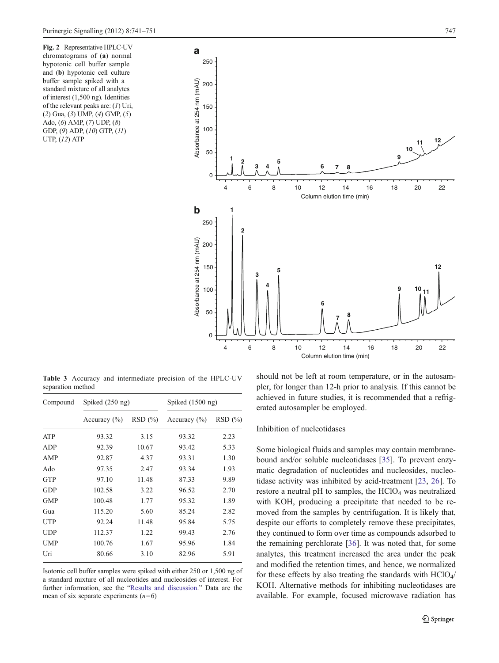<span id="page-7-0"></span>Fig. 2 Representative HPLC-UV chromatograms of (a) normal hypotonic cell buffer sample and (b) hypotonic cell culture buffer sample spiked with a standard mixture of all analytes of interest (1,500 ng). Identities of the relevant peaks are:  $(1)$  Uri, (2) Gua, (3) UMP, (4) GMP, (5) Ado, (6) AMP, (7) UDP, (8) GDP, (9) ADP, (10) GTP, (11) UTP, (12) ATP



Table 3 Accuracy and intermediate precision of the HPLC-UV separation method

| Compound   | Spiked $(250 \text{ ng})$ |        | Spiked $(1500 \text{ ng})$ |        |
|------------|---------------------------|--------|----------------------------|--------|
|            | Accuracy $(\% )$          | RSD(%) | Accuracy $(\% )$           | RSD(%) |
| <b>ATP</b> | 93.32                     | 3.15   | 93.32                      | 2.23   |
| ADP        | 92.39                     | 10.67  | 93.42                      | 5.33   |
| AMP        | 92.87                     | 4.37   | 93.31                      | 1.30   |
| Ado        | 97.35                     | 2.47   | 93.34                      | 1.93   |
| <b>GTP</b> | 97.10                     | 11.48  | 87.33                      | 9.89   |
| GDP        | 102.58                    | 3.22   | 96.52                      | 2.70   |
| <b>GMP</b> | 100.48                    | 1.77   | 95.32                      | 1.89   |
| Gua        | 115.20                    | 5.60   | 85.24                      | 2.82   |
| UTP        | 92.24                     | 11.48  | 95.84                      | 5.75   |
| UDP        | 112.37                    | 1.22   | 99.43                      | 2.76   |
| <b>UMP</b> | 100.76                    | 1.67   | 95.96                      | 1.84   |
| Uri        | 80.66                     | 3.10   | 82.96                      | 5.91   |

Isotonic cell buffer samples were spiked with either 250 or 1,500 ng of a standard mixture of all nucleotides and nucleosides of interest. For further information, see the "[Results and discussion.](#page-4-0)" Data are the mean of six separate experiments  $(n=6)$ 

should not be left at room temperature, or in the autosampler, for longer than 12-h prior to analysis. If this cannot be

4 6 810 12 14 16 18 20 22

Column elution time (min)

achieved in future studies, it is recommended that a refrig-

#### Inhibition of nucleotidases

erated autosampler be employed.

Some biological fluids and samples may contain membranebound and/or soluble nucleotidases [[35\]](#page-9-0). To prevent enzymatic degradation of nucleotides and nucleosides, nucleotidase activity was inhibited by acid-treatment [\[23](#page-9-0), [26\]](#page-9-0). To restore a neutral pH to samples, the  $HClO<sub>4</sub>$  was neutralized with KOH, producing a precipitate that needed to be removed from the samples by centrifugation. It is likely that, despite our efforts to completely remove these precipitates, they continued to form over time as compounds adsorbed to the remaining perchlorate [[36\]](#page-9-0). It was noted that, for some analytes, this treatment increased the area under the peak and modified the retention times, and hence, we normalized for these effects by also treating the standards with  $HClO<sub>4</sub>/$ KOH. Alternative methods for inhibiting nucleotidases are available. For example, focused microwave radiation has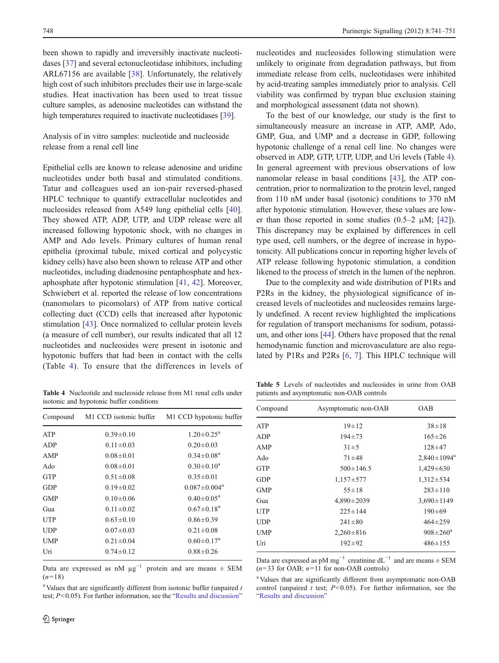<span id="page-8-0"></span>been shown to rapidly and irreversibly inactivate nucleotidases [\[37](#page-9-0)] and several ectonucleotidase inhibitors, including ARL67156 are available [[38\]](#page-9-0). Unfortunately, the relatively high cost of such inhibitors precludes their use in large-scale studies. Heat inactivation has been used to treat tissue culture samples, as adenosine nucleotides can withstand the high temperatures required to inactivate nucleotidases [\[39\]](#page-9-0).

Analysis of in vitro samples: nucleotide and nucleoside release from a renal cell line

Epithelial cells are known to release adenosine and uridine nucleotides under both basal and stimulated conditions. Tatur and colleagues used an ion-pair reversed-phased HPLC technique to quantify extracellular nucleotides and nucleosides released from A549 lung epithelial cells [\[40](#page-9-0)]. They showed ATP, ADP, UTP, and UDP release were all increased following hypotonic shock, with no changes in AMP and Ado levels. Primary cultures of human renal epithelia (proximal tubule, mixed cortical and polycystic kidney cells) have also been shown to release ATP and other nucleotides, including diadenosine pentaphosphate and hexaphosphate after hypotonic stimulation [\[41](#page-9-0), [42](#page-10-0)]. Moreover, Schwiebert et al. reported the release of low concentrations (nanomolars to picomolars) of ATP from native cortical collecting duct (CCD) cells that increased after hypotonic stimulation [[43\]](#page-10-0). Once normalized to cellular protein levels (a measure of cell number), our results indicated that all 12 nucleotides and nucleosides were present in isotonic and hypotonic buffers that had been in contact with the cells (Table [4](#page-7-0)). To ensure that the differences in levels of

Table 4 Nucleotide and nucleoside release from M1 renal cells under isotonic and hypotonic buffer conditions

| Compound   | M1 CCD isotonic buffer | M1 CCD hypotonic buffer    |
|------------|------------------------|----------------------------|
| ATP        | $0.39 \pm 0.10$        | $1.20 \pm 0.25^{\text{a}}$ |
| ADP        | $0.11 \pm 0.03$        | $0.20 \pm 0.03$            |
| AMP        | $0.08 \pm 0.01$        | $0.34 \pm 0.08^a$          |
| Ado        | $0.08 \pm 0.01$        | $0.30 \pm 0.10^a$          |
| <b>GTP</b> | $0.51 \pm 0.08$        | $0.35 \pm 0.01$            |
| GDP        | $0.19 \pm 0.02$        | $0.087 \pm 0.004^a$        |
| <b>GMP</b> | $0.10\pm0.06$          | $0.40 \pm 0.05^{\text{a}}$ |
| Gua        | $0.11 \pm 0.02$        | $0.67 \pm 0.18^a$          |
| UTP        | $0.63 \pm 0.10$        | $0.86 \pm 0.39$            |
| <b>UDP</b> | $0.07 \pm 0.03$        | $0.21 \pm 0.08$            |
| <b>UMP</b> | $0.21 \pm 0.04$        | $0.60 \pm 0.17^a$          |
| Uri        | $0.74 \pm 0.12$        | $0.88 \pm 0.26$            |
|            |                        |                            |

Data are expressed as nM  $\mu$ g<sup>-1</sup> protein and are means ± SEM  $(n=18)$ 

 $a<sup>a</sup>$  Values that are significantly different from isotonic buffer (unpaired  $t$ test;  $P < 0.05$ ). For further information, see the "[Results and discussion](#page-4-0)"

nucleotides and nucleosides following stimulation were unlikely to originate from degradation pathways, but from immediate release from cells, nucleotidases were inhibited by acid-treating samples immediately prior to analysis. Cell viability was confirmed by trypan blue exclusion staining and morphological assessment (data not shown).

To the best of our knowledge, our study is the first to simultaneously measure an increase in ATP, AMP, Ado, GMP, Gua, and UMP and a decrease in GDP, following hypotonic challenge of a renal cell line. No changes were observed in ADP, GTP, UTP, UDP, and Uri levels (Table [4\)](#page-7-0). In general agreement with previous observations of low nanomolar release in basal conditions [[43\]](#page-10-0), the ATP concentration, prior to normalization to the protein level, ranged from 110 nM under basal (isotonic) conditions to 370 nM after hypotonic stimulation. However, these values are lower than those reported in some studies  $(0.5-2 \mu M; 42]$ . This discrepancy may be explained by differences in cell type used, cell numbers, or the degree of increase in hypotonicity. All publications concur in reporting higher levels of ATP release following hypotonic stimulation, a condition likened to the process of stretch in the lumen of the nephron.

Due to the complexity and wide distribution of P1Rs and P2Rs in the kidney, the physiological significance of increased levels of nucleotides and nucleosides remains largely undefined. A recent review highlighted the implications for regulation of transport mechanisms for sodium, potassium, and other ions [[44\]](#page-10-0). Others have proposed that the renal hemodynamic function and microvasculature are also regulated by P1Rs and P2Rs [\[6](#page-9-0), [7](#page-9-0)]. This HPLC technique will

Table 5 Levels of nucleotides and nucleosides in urine from OAB patients and asymptomatic non-OAB controls

| Compound   | Asymptomatic non-OAB | OAB                      |
|------------|----------------------|--------------------------|
| ATP        | $19 \pm 12$          | $38 + 18$                |
| ADP        | $194 \pm 73$         | $165 \pm 26$             |
| AMP        | $31 \pm 5$           | $128 + 47$               |
| Ado        | $71 + 48$            | $2,840 \pm 1094^{\circ}$ |
| <b>GTP</b> | $500 \pm 146.5$      | $1,429 \pm 630$          |
| GDP        | $1,157 \pm 577$      | $1,312 \pm 534$          |
| GMP        | $55 \pm 18$          | $283 \pm 110$            |
| Gua        | $4,890 \pm 2039$     | $3,690 \pm 1149$         |
| <b>UTP</b> | $225 \pm 144$        | $190 \pm 69$             |
| <b>UDP</b> | $241 \pm 80$         | $464 \pm 259$            |
| UMP        | $2,260\pm816$        | $908 \pm 260^{\circ}$    |
| Uri        | $192 \pm 92$         | $486 \pm 155$            |

Data are expressed as pM mg<sup>-1</sup> creatinine  $dL^{-1}$  and are means  $\pm$  SEM  $(n=33$  for OAB;  $n=11$  for non-OAB controls)

<sup>a</sup> Values that are significantly different from asymptomatic non-OAB control (unpaired t test;  $P < 0.05$ ). For further information, see the "[Results and discussion](#page-4-0)"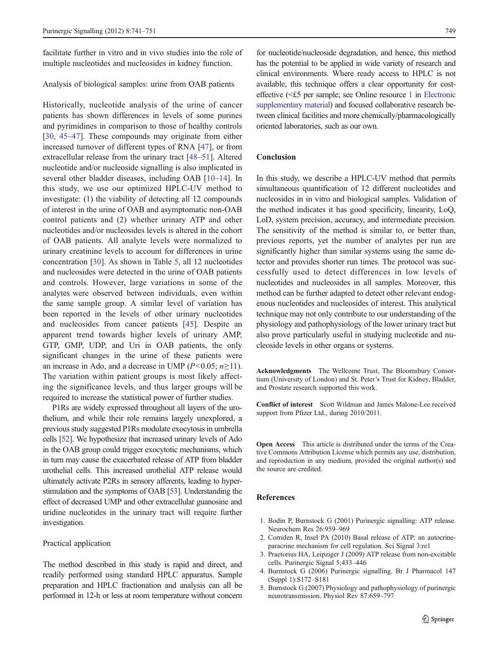<span id="page-9-0"></span>facilitate further in vitro and in vivo studies into the role of multiple nucleotides and nucleosides in kidney function.

#### Analysis of biological samples: urine from OAB patients

Historically, nucleotide analysis of the urine of cancer patients has shown differences in levels of some purines and pyrimidines in comparison to those of healthy controls [30, [45](#page-10-0)–[47\]](#page-10-0). These compounds may originate from either increased turnover of different types of RNA [[47\]](#page-10-0), or from extracellular release from the urinary tract [[48](#page-10-0)–[51\]](#page-10-0). Altered nucleotide and/or nucleoside signalling is also implicated in several other bladder diseases, including OAB [10–14]. In this study, we use our optimized HPLC-UV method to investigate: (1) the viability of detecting all 12 compounds of interest in the urine of OAB and asymptomatic non-OAB control patients and (2) whether urinary ATP and other nucleotides and/or nucleosides levels is altered in the cohort of OAB patients. All analyte levels were normalized to urinary creatinine levels to account for differences in urine concentration [30]. As shown in Table [5,](#page-7-0) all 12 nucleotides and nucleosides were detected in the urine of OAB patients and controls. However, large variations in some of the analytes were observed between individuals, even within the same sample group. A similar level of variation has been reported in the levels of other urinary nucleotides and nucleosides from cancer patients [\[45\]](#page-10-0). Despite an apparent trend towards higher levels of urinary AMP, GTP, GMP, UDP, and Uri in OAB patients, the only significant changes in the urine of these patients were an increase in Ado, and a decrease in UMP ( $P<0.05$ ;  $n\geq11$ ). The variation within patient groups is most likely affecting the significance levels, and thus larger groups will be required to increase the statistical power of further studies.

P1Rs are widely expressed throughout all layers of the urothelium, and while their role remains largely unexplored, a previous study suggested P1Rs modulate exocytosis in umbrella cells [[52](#page-10-0)]. We hypothesize that increased urinary levels of Ado in the OAB group could trigger exocytotic mechanisms, which in turn may cause the exacerbated release of ATP from bladder urothelial cells. This increased urothelial ATP release would ultimately activate P2Rs in sensory afferents, leading to hyperstimulation and the symptoms of OAB [[53](#page-10-0)]. Understanding the effect of decreased UMP and other extracellular guanosine and uridine nucleotides in the urinary tract will require further investigation.

#### Practical application

The method described in this study is rapid and direct, and readily performed using standard HPLC apparatus. Sample preparation and HPLC fractionation and analysis can all be performed in 12-h or less at room temperature without concern

for nucleotide/nucleoside degradation, and hence, this method has the potential to be applied in wide variety of research and clinical environments. Where ready access to HPLC is not available, this technique offers a clear opportunity for costeffective (<£5 per sample; see Online resource 1 in Electronic supplementary material) and focused collaborative research between clinical facilities and more chemically/pharmacologically oriented laboratories, such as our own.

#### Conclusion

In this study, we describe a HPLC-UV method that permits simultaneous quantification of 12 different nucleotides and nucleosides in in vitro and biological samples. Validation of the method indicates it has good specificity, linearity, LoQ, LoD, system precision, accuracy, and intermediate precision. The sensitivity of the method is similar to, or better than, previous reports, yet the number of analytes per run are significantly higher than similar systems using the same detector and provides shorter run times. The protocol was successfully used to detect differences in low levels of nucleotides and nucleosides in all samples. Moreover, this method can be further adapted to detect other relevant endogenous nucleotides and nucleosides of interest. This analytical technique may not only contribute to our understanding of the physiology and pathophysiology of the lower urinary tract but also prove particularly useful in studying nucleotide and nucleoside levels in other organs or systems.

Acknowledgments The Wellcome Trust, The Bloomsbury Consortium (University of London) and St. Peter's Trust for Kidney, Bladder, and Prostate research supported this work.

Conflict of interest Scott Wildman and James Malone-Lee received support from Pfizer Ltd., during 2010/2011.

Open Access This article is distributed under the terms of the Creative Commons Attribution License which permits any use, distribution, and reproduction in any medium, provided the original author(s) and the source are credited.

#### References

- 1. Bodin P, Burnstock G (2001) Purinergic signalling: ATP release. Neurochem Res 26:959–969
- 2. Corriden R, Insel PA (2010) Basal release of ATP: an autocrineparacrine mechanism for cell regulation. Sci Signal 3:re1
- 3. Praetorius HA, Leipziger J (2009) ATP release from non-excitable cells. Purinergic Signal 5:433–446
- 4. Burnstock G (2006) Purinergic signalling. Br J Pharmacol 147 (Suppl 1):S172–S181
- 5. Burnstock G (2007) Physiology and pathophysiology of purinergic neurotransmission. Physiol Rev 87:659–797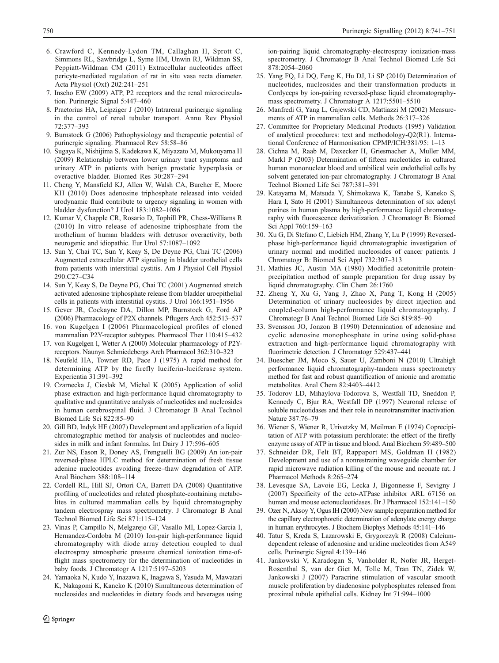- <span id="page-10-0"></span>6. Crawford C, Kennedy-Lydon TM, Callaghan H, Sprott C, Simmons RL, Sawbridge L, Syme HM, Unwin RJ, Wildman SS, Peppiatt-Wildman CM (2011) Extracellular nucleotides affect pericyte-mediated regulation of rat in situ vasa recta diameter. Acta Physiol (Oxf) 202:241–251
- 7. Inscho EW (2009) ATP, P2 receptors and the renal microcirculation. Purinergic Signal 5:447–460
- 8. Praetorius HA, Leipziger J (2010) Intrarenal purinergic signaling in the control of renal tubular transport. Annu Rev Physiol 72:377–393
- 9. Burnstock G (2006) Pathophysiology and therapeutic potential of purinergic signaling. Pharmacol Rev 58:58–86
- 10. Sugaya K, Nishijima S, Kadekawa K, Miyazato M, Mukouyama H (2009) Relationship between lower urinary tract symptoms and urinary ATP in patients with benign prostatic hyperplasia or overactive bladder. Biomed Res 30:287–294
- 11. Cheng Y, Mansfield KJ, Allen W, Walsh CA, Burcher E, Moore KH (2010) Does adenosine triphosphate released into voided urodynamic fluid contribute to urgency signaling in women with bladder dysfunction? J Urol 183:1082–1086
- 12. Kumar V, Chapple CR, Rosario D, Tophill PR, Chess-Williams R (2010) In vitro release of adenosine triphosphate from the urothelium of human bladders with detrusor overactivity, both neurogenic and idiopathic. Eur Urol 57:1087–1092
- 13. Sun Y, Chai TC, Sun Y, Keay S, De Deyne PG, Chai TC (2006) Augmented extracellular ATP signaling in bladder urothelial cells from patients with interstitial cystitis. Am J Physiol Cell Physiol 290:C27–C34
- 14. Sun Y, Keay S, De Deyne PG, Chai TC (2001) Augmented stretch activated adenosine triphosphate release from bladder uroepithelial cells in patients with interstitial cystitis. J Urol 166:1951–1956
- 15. Gever JR, Cockayne DA, Dillon MP, Burnstock G, Ford AP (2006) Pharmacology of P2X channels. Pflugers Arch 452:513–537
- 16. von Kugelgen I (2006) Pharmacological profiles of cloned mammalian P2Y-receptor subtypes. Pharmacol Ther 110:415–432
- 17. von Kugelgen I, Wetter A (2000) Molecular pharmacology of P2Yreceptors. Naunyn Schmiedebergs Arch Pharmacol 362:310–323
- 18. Neufeld HA, Towner RD, Pace J (1975) A rapid method for determining ATP by the firefly luciferin-luciferase system. Experientia 31:391–392
- 19. Czarnecka J, Cieslak M, Michal K (2005) Application of solid phase extraction and high-performance liquid chromatography to qualitative and quantitative analysis of nucleotides and nucleosides in human cerebrospinal fluid. J Chromatogr B Anal Technol Biomed Life Sci 822:85–90
- 20. Gill BD, Indyk HE (2007) Development and application of a liquid chromatographic method for analysis of nucleotides and nucleosides in milk and infant formulas. Int Dairy J 17:596–605
- 21. Zur NS, Eason R, Doney AS, Frenguelli BG (2009) An ion-pair reversed-phase HPLC method for determination of fresh tissue adenine nucleotides avoiding freeze–thaw degradation of ATP. Anal Biochem 388:108–114
- 22. Cordell RL, Hill SJ, Ortori CA, Barrett DA (2008) Quantitative profiling of nucleotides and related phosphate-containing metabolites in cultured mammalian cells by liquid chromatography tandem electrospray mass spectrometry. J Chromatogr B Anal Technol Biomed Life Sci 871:115–124
- 23. Vinas P, Campillo N, Melgarejo GF, Vasallo MI, Lopez-Garcia I, Hernandez-Cordoba M (2010) Ion-pair high-performance liquid chromatography with diode array detection coupled to dual electrospray atmospheric pressure chemical ionization time-offlight mass spectrometry for the determination of nucleotides in baby foods. J Chromatogr A 1217:5197–5203
- 24. Yamaoka N, Kudo Y, Inazawa K, Inagawa S, Yasuda M, Mawatari K, Nakagomi K, Kaneko K (2010) Simultaneous determination of nucleosides and nucleotides in dietary foods and beverages using

 $\textcircled{2}$  Springer

ion-pairing liquid chromatography-electrospray ionization-mass spectrometry. J Chromatogr B Anal Technol Biomed Life Sci 878:2054–2060

- 25. Yang FQ, Li DQ, Feng K, Hu DJ, Li SP (2010) Determination of nucleotides, nucleosides and their transformation products in Cordyceps by ion-pairing reversed-phase liquid chromatographymass spectrometry. J Chromatogr A 1217:5501–5510
- 26. Manfredi G, Yang L, Gajewski CD, Mattiazzi M (2002) Measurements of ATP in mammalian cells. Methods 26:317–326
- 27. Committee for Proprietary Medicinal Products (1995) Validation of analytical procedures: text and methodology-Q2(R1). International Conference of Harmonisation CPMP/ICH/381/95: 1–13
- 28. Cichna M, Raab M, Daxecker H, Griesmacher A, Muller MM, Markl P (2003) Determination of fifteen nucleotides in cultured human mononuclear blood and umbilical vein endothelial cells by solvent generated ion-pair chromatography. J Chromatogr B Anal Technol Biomed Life Sci 787:381–391
- 29. Katayama M, Matsuda Y, Shimokawa K, Tanabe S, Kaneko S, Hara I, Sato H (2001) Simultaneous determination of six adenyl purines in human plasma by high-performance liquid chromatography with fluorescence derivatization. J Chromatogr B: Biomed Sci Appl 760:159–163
- 30. Xu G, Di Stefano C, Liebich HM, Zhang Y, Lu P (1999) Reversedphase high-performance liquid chromatographic investigation of urinary normal and modified nucleosides of cancer patients. J Chromatogr B: Biomed Sci Appl 732:307–313
- 31. Mathies JC, Austin MA (1980) Modified acetonitrile proteinprecipitation method of sample preparation for drug assay by liquid chromatography. Clin Chem 26:1760
- 32. Zheng Y, Xu G, Yang J, Zhao X, Pang T, Kong H (2005) Determination of urinary nucleosides by direct injection and coupled-column high-performance liquid chromatography. J Chromatogr B Anal Technol Biomed Life Sci 819:85–90
- 33. Svensson JO, Jonzon B (1990) Determination of adenosine and cyclic adenosine monophosphate in urine using solid-phase extraction and high-performance liquid chromatography with fluorimetric detection. J Chromatogr 529:437–441
- 34. Buescher JM, Moco S, Sauer U, Zamboni N (2010) Ultrahigh performance liquid chromatography-tandem mass spectrometry method for fast and robust quantification of anionic and aromatic metabolites. Anal Chem 82:4403–4412
- 35. Todorov LD, Mihaylova-Todorova S, Westfall TD, Sneddon P, Kennedy C, Bjur RA, Westfall DP (1997) Neuronal release of soluble nucleotidases and their role in neurotransmitter inactivation. Nature 387:76–79
- 36. Wiener S, Wiener R, Urivetzky M, Meilman E (1974) Coprecipitation of ATP with potassium perchlorate: the effect of the firefly enzyme assay of ATP in tissue and blood. Anal Biochem 59:489–500
- 37. Schneider DR, Felt BT, Rappaport MS, Goldman H (1982) Development and use of a nonrestraining waveguide chamber for rapid microwave radiation killing of the mouse and neonate rat. J Pharmacol Methods 8:265–274
- 38. Levesque SA, Lavoie EG, Lecka J, Bigonnesse F, Sevigny J (2007) Specificity of the ecto-ATPase inhibitor ARL 67156 on human and mouse ectonucleotidases. Br J Pharmacol 152:141–150
- 39. Ozer N, Aksoy Y, Ogus IH (2000) New sample preparation method for the capillary electrophoretic determination of adenylate energy charge in human erythrocytes. J Biochem Biophys Methods 45:141–146
- 40. Tatur S, Kreda S, Lazarowski E, Grygorczyk R (2008) Calciumdependent release of adenosine and uridine nucleotides from A549 cells. Purinergic Signal 4:139–146
- 41. Jankowski V, Karadogan S, Vanholder R, Nofer JR, Herget-Rosenthal S, van der Giet M, Tolle M, Tran TN, Zidek W, Jankowski J (2007) Paracrine stimulation of vascular smooth muscle proliferation by diadenosine polyphosphates released from proximal tubule epithelial cells. Kidney Int 71:994–1000